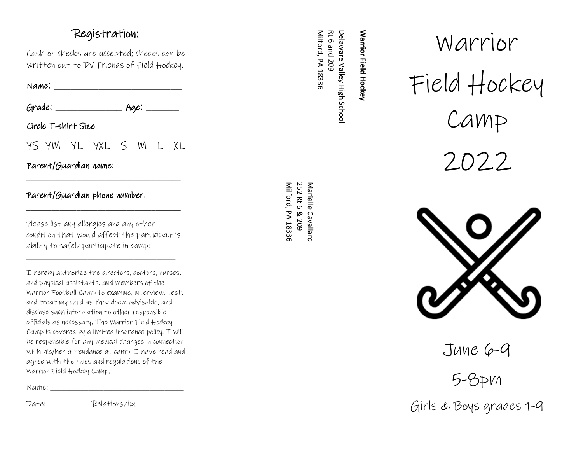## Registration:

Cash or checks are accepted; checks can be written out to DV Friends of Field Hockey.

 $Name:$ 

Grade: \_\_\_\_\_\_\_\_\_\_\_\_ Age: \_\_\_\_\_\_

Circle T -shirt Size:

YS YM YL YXL S M L XL

\_\_\_\_\_\_\_\_\_\_\_\_\_\_\_\_\_\_\_\_\_\_\_\_\_\_\_\_\_\_\_\_\_\_\_\_\_

Parent/Guardian name:

#### Parent/Guardian phone number:

Please list any allergies and any other condition that would affect the participant's ability to safely participate in camp:

\_\_\_\_\_\_\_\_\_\_\_\_\_\_\_\_\_\_\_\_\_\_\_\_\_\_\_\_\_\_\_\_\_\_\_\_\_\_\_

\_\_\_\_\_\_\_\_\_\_\_\_\_\_\_\_\_\_\_\_\_\_\_\_\_\_\_\_\_\_\_\_\_\_\_\_\_

I hereby authorize the directors, doctors, nurses, and physical assistants, and members of the Warrior Football Camp to examine, interview, test, and treat my child as they deem advisable, and disclose such information to other responsible officials as necessary, The Warrior Field Hockey Camp is covered by a limited insurance policy.  $I$  will be responsible for any medical charges in connection with his/her attendance at camp. I have read and agree with the rules and regulations of the Warrior Field Hockey Camp.

Name: \_\_\_\_\_\_\_\_\_\_\_\_\_\_\_\_\_\_\_\_\_\_\_\_\_\_\_\_\_\_\_\_\_\_\_

Date: \_\_\_\_\_\_\_\_\_\_\_ Relationship: \_\_\_\_\_\_\_\_\_\_\_\_

Milford, PA 18336 Rt 6 and 209 Delaware Valley High Schoo **Warrior Field Hockey** Milford, PA 18336 Rt 6 and 209 Delaware Valley High School

**Warrior Field Hockey**

Marielle Cavallaro<br>252 Rt 6 & 209 Milford, PA 18336 Milford, PA 252 Rt 6 & 209 Marielle Cavallaro

# Warrior Field Hockey Camp 2022



June 6-9

5 -8pm

Girls & Boys grades 1 - 9